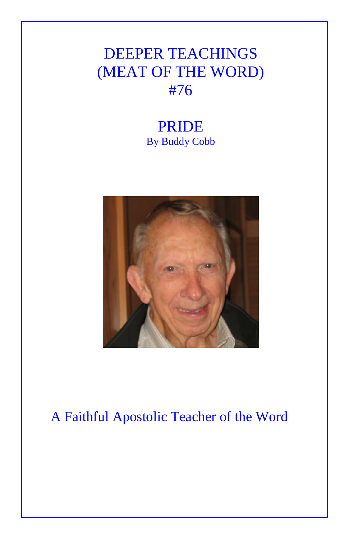## DEEPER TEACHINGS (MEAT OF THE WORD) #76

## PRIDE By Buddy Cobb



## A Faithful Apostolic Teacher of the Word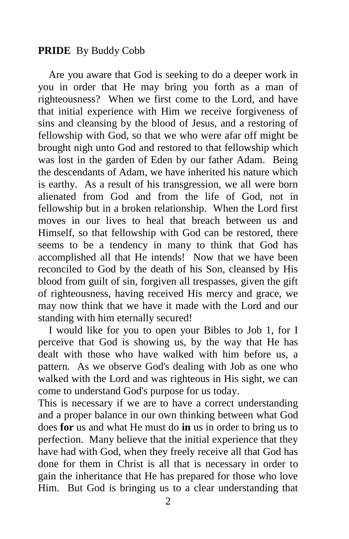## **PRIDE** By Buddy Cobb

 Are you aware that God is seeking to do a deeper work in you in order that He may bring you forth as a man of righteousness? When we first come to the Lord, and have that initial experience with Him we receive forgiveness of sins and cleansing by the blood of Jesus, and a restoring of fellowship with God, so that we who were afar off might be brought nigh unto God and restored to that fellowship which was lost in the garden of Eden by our father Adam. Being the descendants of Adam, we have inherited his nature which is earthy. As a result of his transgression, we all were born alienated from God and from the life of God, not in fellowship but in a broken relationship. When the Lord first moves in our lives to heal that breach between us and Himself, so that fellowship with God can be restored, there seems to be a tendency in many to think that God has accomplished all that He intends! Now that we have been reconciled to God by the death of his Son, cleansed by His blood from guilt of sin, forgiven all trespasses, given the gift of righteousness, having received His mercy and grace, we may now think that we have it made with the Lord and our standing with him eternally secured!

 I would like for you to open your Bibles to Job 1, for I perceive that God is showing us, by the way that He has dealt with those who have walked with him before us, a pattern. As we observe God's dealing with Job as one who walked with the Lord and was righteous in His sight, we can come to understand God's purpose for us today.

This is necessary if we are to have a correct understanding and a proper balance in our own thinking between what God does **for** us and what He must do **in** us in order to bring us to perfection. Many believe that the initial experience that they have had with God, when they freely receive all that God has done for them in Christ is all that is necessary in order to gain the inheritance that He has prepared for those who love Him. But God is bringing us to a clear understanding that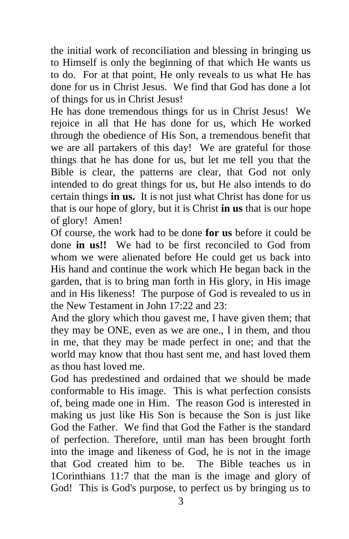the initial work of reconciliation and blessing in bringing us to Himself is only the beginning of that which He wants us to do. For at that point, He only reveals to us what He has done for us in Christ Jesus. We find that God has done a lot of things for us in Christ Jesus!

He has done tremendous things for us in Christ Jesus! We rejoice in all that He has done for us, which He worked through the obedience of His Son, a tremendous benefit that we are all partakers of this day! We are grateful for those things that he has done for us, but let me tell you that the Bible is clear, the patterns are clear, that God not only intended to do great things for us, but He also intends to do certain things **in us.** It is not just what Christ has done for us that is our hope of glory, but it is Christ **in us** that is our hope of glory! Amen!

Of course, the work had to be done **for us** before it could be done **in us!!** We had to be first reconciled to God from whom we were alienated before He could get us back into His hand and continue the work which He began back in the garden, that is to bring man forth in His glory, in His image and in His likeness! The purpose of God is revealed to us in the New Testament in John 17:22 and 23:

And the glory which thou gavest me, I have given them; that they may be ONE, even as we are one., I in them, and thou in me, that they may be made perfect in one; and that the world may know that thou hast sent me, and hast loved them as thou hast loved me.

God has predestined and ordained that we should be made conformable to His image. This is what perfection consists of, being made one in Him. The reason God is interested in making us just like His Son is because the Son is just like God the Father. We find that God the Father is the standard of perfection. Therefore, until man has been brought forth into the image and likeness of God, he is not in the image that God created him to be. The Bible teaches us in 1Corinthians 11:7 that the man is the image and glory of God! This is God's purpose, to perfect us by bringing us to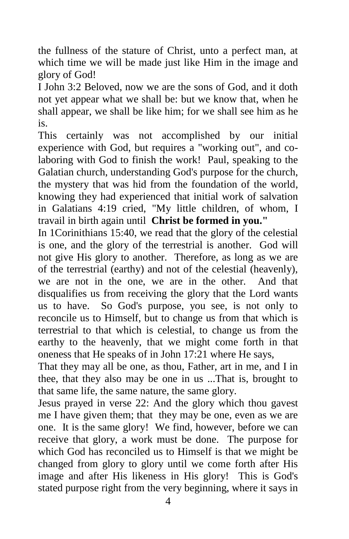the fullness of the stature of Christ, unto a perfect man, at which time we will be made just like Him in the image and glory of God!

I John 3:2 Beloved, now we are the sons of God, and it doth not yet appear what we shall be: but we know that, when he shall appear, we shall be like him; for we shall see him as he is.

This certainly was not accomplished by our initial experience with God, but requires a "working out", and colaboring with God to finish the work! Paul, speaking to the Galatian church, understanding God's purpose for the church, the mystery that was hid from the foundation of the world, knowing they had experienced that initial work of salvation in Galatians 4:19 cried, "My little children, of whom, I travail in birth again until **Christ be formed in you."**

In 1Corinithians 15:40, we read that the glory of the celestial is one, and the glory of the terrestrial is another. God will not give His glory to another. Therefore, as long as we are of the terrestrial (earthy) and not of the celestial (heavenly), we are not in the one, we are in the other. And that disqualifies us from receiving the glory that the Lord wants us to have. So God's purpose, you see, is not only to reconcile us to Himself, but to change us from that which is terrestrial to that which is celestial, to change us from the earthy to the heavenly, that we might come forth in that oneness that He speaks of in John 17:21 where He says,

That they may all be one, as thou, Father, art in me, and I in thee, that they also may be one in us ...That is, brought to that same life, the same nature, the same glory.

Jesus prayed in verse 22: And the glory which thou gavest me I have given them; that they may be one, even as we are one. It is the same glory! We find, however, before we can receive that glory, a work must be done. The purpose for which God has reconciled us to Himself is that we might be changed from glory to glory until we come forth after His image and after His likeness in His glory! This is God's stated purpose right from the very beginning, where it says in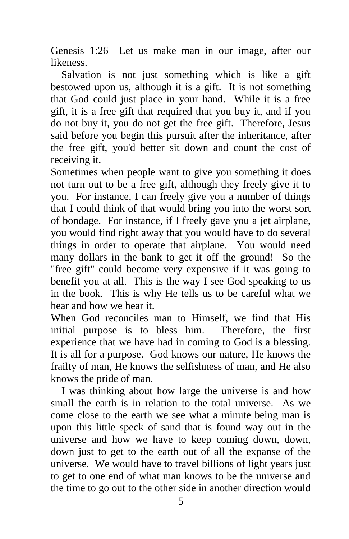Genesis 1:26 Let us make man in our image, after our likeness.

 Salvation is not just something which is like a gift bestowed upon us, although it is a gift. It is not something that God could just place in your hand. While it is a free gift, it is a free gift that required that you buy it, and if you do not buy it, you do not get the free gift. Therefore, Jesus said before you begin this pursuit after the inheritance, after the free gift, you'd better sit down and count the cost of receiving it.

Sometimes when people want to give you something it does not turn out to be a free gift, although they freely give it to you. For instance, I can freely give you a number of things that I could think of that would bring you into the worst sort of bondage. For instance, if I freely gave you a jet airplane, you would find right away that you would have to do several things in order to operate that airplane. You would need many dollars in the bank to get it off the ground! So the "free gift" could become very expensive if it was going to benefit you at all. This is the way I see God speaking to us in the book. This is why He tells us to be careful what we hear and how we hear it.

When God reconciles man to Himself, we find that His initial purpose is to bless him. Therefore, the first experience that we have had in coming to God is a blessing. It is all for a purpose. God knows our nature, He knows the frailty of man, He knows the selfishness of man, and He also knows the pride of man.

 I was thinking about how large the universe is and how small the earth is in relation to the total universe. As we come close to the earth we see what a minute being man is upon this little speck of sand that is found way out in the universe and how we have to keep coming down, down, down just to get to the earth out of all the expanse of the universe. We would have to travel billions of light years just to get to one end of what man knows to be the universe and the time to go out to the other side in another direction would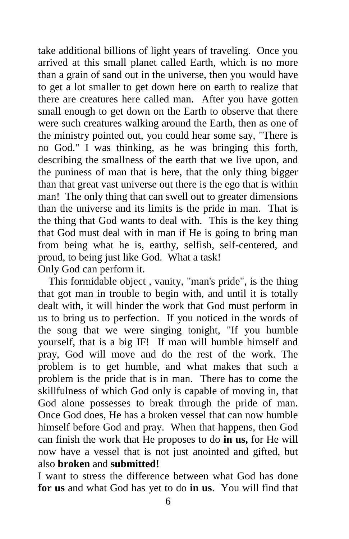take additional billions of light years of traveling. Once you arrived at this small planet called Earth, which is no more than a grain of sand out in the universe, then you would have to get a lot smaller to get down here on earth to realize that there are creatures here called man. After you have gotten small enough to get down on the Earth to observe that there were such creatures walking around the Earth, then as one of the ministry pointed out, you could hear some say, "There is no God." I was thinking, as he was bringing this forth, describing the smallness of the earth that we live upon, and the puniness of man that is here, that the only thing bigger than that great vast universe out there is the ego that is within man! The only thing that can swell out to greater dimensions than the universe and its limits is the pride in man. That is the thing that God wants to deal with. This is the key thing that God must deal with in man if He is going to bring man from being what he is, earthy, selfish, self-centered, and proud, to being just like God. What a task! Only God can perform it.

 This formidable object , vanity, "man's pride", is the thing that got man in trouble to begin with, and until it is totally dealt with, it will hinder the work that God must perform in us to bring us to perfection. If you noticed in the words of the song that we were singing tonight, "If you humble yourself, that is a big IF! If man will humble himself and pray, God will move and do the rest of the work. The problem is to get humble, and what makes that such a problem is the pride that is in man. There has to come the skillfulness of which God only is capable of moving in, that God alone possesses to break through the pride of man. Once God does, He has a broken vessel that can now humble himself before God and pray. When that happens, then God can finish the work that He proposes to do **in us,** for He will now have a vessel that is not just anointed and gifted, but also **broken** and **submitted!** 

I want to stress the difference between what God has done **for us** and what God has yet to do **in us**. You will find that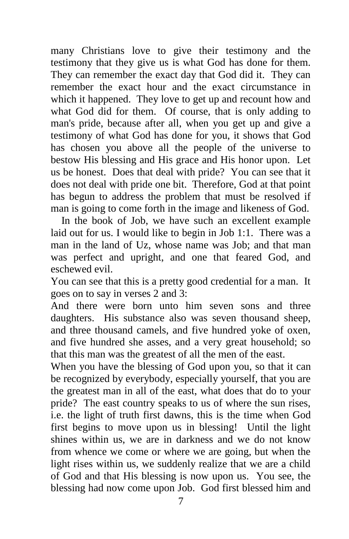many Christians love to give their testimony and the testimony that they give us is what God has done for them. They can remember the exact day that God did it. They can remember the exact hour and the exact circumstance in which it happened. They love to get up and recount how and what God did for them. Of course, that is only adding to man's pride, because after all, when you get up and give a testimony of what God has done for you, it shows that God has chosen you above all the people of the universe to bestow His blessing and His grace and His honor upon. Let us be honest. Does that deal with pride? You can see that it does not deal with pride one bit. Therefore, God at that point has begun to address the problem that must be resolved if man is going to come forth in the image and likeness of God.

 In the book of Job, we have such an excellent example laid out for us. I would like to begin in Job 1:1. There was a man in the land of Uz, whose name was Job; and that man was perfect and upright, and one that feared God, and eschewed evil.

You can see that this is a pretty good credential for a man. It goes on to say in verses 2 and 3:

And there were born unto him seven sons and three daughters. His substance also was seven thousand sheep, and three thousand camels, and five hundred yoke of oxen, and five hundred she asses, and a very great household; so that this man was the greatest of all the men of the east.

When you have the blessing of God upon you, so that it can be recognized by everybody, especially yourself, that you are the greatest man in all of the east, what does that do to your pride? The east country speaks to us of where the sun rises, i.e. the light of truth first dawns, this is the time when God first begins to move upon us in blessing! Until the light shines within us, we are in darkness and we do not know from whence we come or where we are going, but when the light rises within us, we suddenly realize that we are a child of God and that His blessing is now upon us. You see, the blessing had now come upon Job. God first blessed him and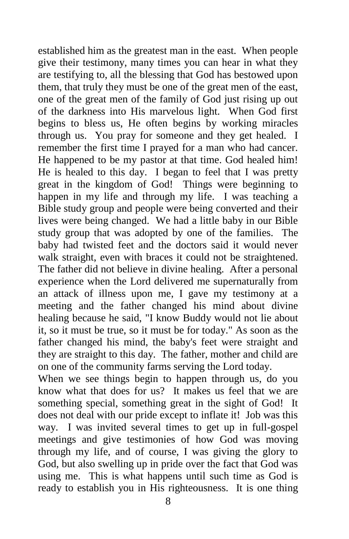established him as the greatest man in the east. When people give their testimony, many times you can hear in what they are testifying to, all the blessing that God has bestowed upon them, that truly they must be one of the great men of the east, one of the great men of the family of God just rising up out of the darkness into His marvelous light. When God first begins to bless us, He often begins by working miracles through us. You pray for someone and they get healed. I remember the first time I prayed for a man who had cancer. He happened to be my pastor at that time. God healed him! He is healed to this day. I began to feel that I was pretty great in the kingdom of God! Things were beginning to happen in my life and through my life. I was teaching a Bible study group and people were being converted and their lives were being changed. We had a little baby in our Bible study group that was adopted by one of the families. The baby had twisted feet and the doctors said it would never walk straight, even with braces it could not be straightened. The father did not believe in divine healing. After a personal experience when the Lord delivered me supernaturally from an attack of illness upon me, I gave my testimony at a meeting and the father changed his mind about divine healing because he said, "I know Buddy would not lie about it, so it must be true, so it must be for today." As soon as the father changed his mind, the baby's feet were straight and they are straight to this day. The father, mother and child are on one of the community farms serving the Lord today.

When we see things begin to happen through us, do you know what that does for us? It makes us feel that we are something special, something great in the sight of God! It does not deal with our pride except to inflate it! Job was this way. I was invited several times to get up in full-gospel meetings and give testimonies of how God was moving through my life, and of course, I was giving the glory to God, but also swelling up in pride over the fact that God was using me. This is what happens until such time as God is ready to establish you in His righteousness. It is one thing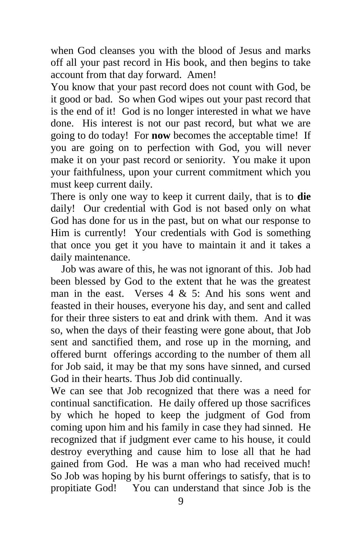when God cleanses you with the blood of Jesus and marks off all your past record in His book, and then begins to take account from that day forward. Amen!

You know that your past record does not count with God, be it good or bad. So when God wipes out your past record that is the end of it! God is no longer interested in what we have done. His interest is not our past record, but what we are going to do today! For **now** becomes the acceptable time! If you are going on to perfection with God, you will never make it on your past record or seniority. You make it upon your faithfulness, upon your current commitment which you must keep current daily.

There is only one way to keep it current daily, that is to **die**  daily! Our credential with God is not based only on what God has done for us in the past, but on what our response to Him is currently! Your credentials with God is something that once you get it you have to maintain it and it takes a daily maintenance.

 Job was aware of this, he was not ignorant of this. Job had been blessed by God to the extent that he was the greatest man in the east. Verses  $4 \& 5$ : And his sons went and feasted in their houses, everyone his day, and sent and called for their three sisters to eat and drink with them. And it was so, when the days of their feasting were gone about, that Job sent and sanctified them, and rose up in the morning, and offered burnt offerings according to the number of them all for Job said, it may be that my sons have sinned, and cursed God in their hearts. Thus Job did continually.

We can see that Job recognized that there was a need for continual sanctification. He daily offered up those sacrifices by which he hoped to keep the judgment of God from coming upon him and his family in case they had sinned. He recognized that if judgment ever came to his house, it could destroy everything and cause him to lose all that he had gained from God. He was a man who had received much! So Job was hoping by his burnt offerings to satisfy, that is to propitiate God! You can understand that since Job is the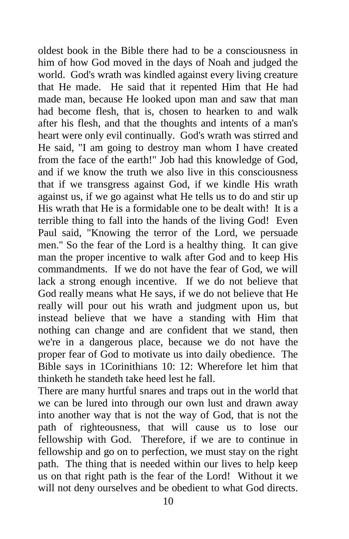oldest book in the Bible there had to be a consciousness in him of how God moved in the days of Noah and judged the world. God's wrath was kindled against every living creature that He made. He said that it repented Him that He had made man, because He looked upon man and saw that man had become flesh, that is, chosen to hearken to and walk after his flesh, and that the thoughts and intents of a man's heart were only evil continually. God's wrath was stirred and He said, "I am going to destroy man whom I have created from the face of the earth!" Job had this knowledge of God, and if we know the truth we also live in this consciousness that if we transgress against God, if we kindle His wrath against us, if we go against what He tells us to do and stir up His wrath that He is a formidable one to be dealt with! It is a terrible thing to fall into the hands of the living God! Even Paul said, "Knowing the terror of the Lord, we persuade men." So the fear of the Lord is a healthy thing. It can give man the proper incentive to walk after God and to keep His commandments. If we do not have the fear of God, we will lack a strong enough incentive. If we do not believe that God really means what He says, if we do not believe that He really will pour out his wrath and judgment upon us, but instead believe that we have a standing with Him that nothing can change and are confident that we stand, then we're in a dangerous place, because we do not have the proper fear of God to motivate us into daily obedience. The Bible says in 1Corinithians 10: 12: Wherefore let him that thinketh he standeth take heed lest he fall.

There are many hurtful snares and traps out in the world that we can be lured into through our own lust and drawn away into another way that is not the way of God, that is not the path of righteousness, that will cause us to lose our fellowship with God. Therefore, if we are to continue in fellowship and go on to perfection, we must stay on the right path. The thing that is needed within our lives to help keep us on that right path is the fear of the Lord! Without it we will not deny ourselves and be obedient to what God directs.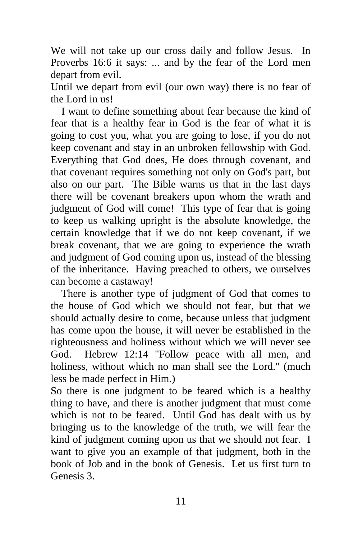We will not take up our cross daily and follow Jesus. In Proverbs 16:6 it says: ... and by the fear of the Lord men depart from evil.

Until we depart from evil (our own way) there is no fear of the Lord in us!

 I want to define something about fear because the kind of fear that is a healthy fear in God is the fear of what it is going to cost you, what you are going to lose, if you do not keep covenant and stay in an unbroken fellowship with God. Everything that God does, He does through covenant, and that covenant requires something not only on God's part, but also on our part. The Bible warns us that in the last days there will be covenant breakers upon whom the wrath and judgment of God will come! This type of fear that is going to keep us walking upright is the absolute knowledge, the certain knowledge that if we do not keep covenant, if we break covenant, that we are going to experience the wrath and judgment of God coming upon us, instead of the blessing of the inheritance. Having preached to others, we ourselves can become a castaway!

 There is another type of judgment of God that comes to the house of God which we should not fear, but that we should actually desire to come, because unless that judgment has come upon the house, it will never be established in the righteousness and holiness without which we will never see God. Hebrew 12:14 "Follow peace with all men, and holiness, without which no man shall see the Lord." (much less be made perfect in Him.)

So there is one judgment to be feared which is a healthy thing to have, and there is another judgment that must come which is not to be feared. Until God has dealt with us by bringing us to the knowledge of the truth, we will fear the kind of judgment coming upon us that we should not fear. I want to give you an example of that judgment, both in the book of Job and in the book of Genesis. Let us first turn to Genesis 3.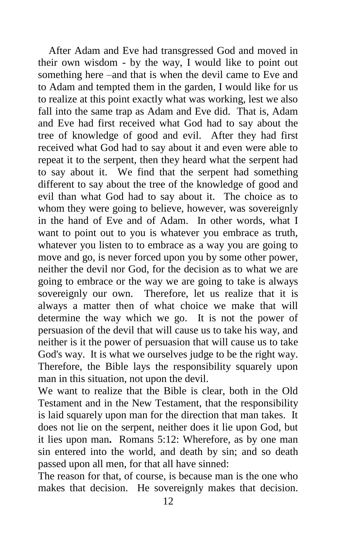After Adam and Eve had transgressed God and moved in their own wisdom - by the way, I would like to point out something here –and that is when the devil came to Eve and to Adam and tempted them in the garden, I would like for us to realize at this point exactly what was working, lest we also fall into the same trap as Adam and Eve did. That is, Adam and Eve had first received what God had to say about the tree of knowledge of good and evil. After they had first received what God had to say about it and even were able to repeat it to the serpent, then they heard what the serpent had to say about it. We find that the serpent had something different to say about the tree of the knowledge of good and evil than what God had to say about it. The choice as to whom they were going to believe, however, was sovereignly in the hand of Eve and of Adam. In other words, what I want to point out to you is whatever you embrace as truth, whatever you listen to to embrace as a way you are going to move and go, is never forced upon you by some other power, neither the devil nor God, for the decision as to what we are going to embrace or the way we are going to take is always sovereignly our own. Therefore, let us realize that it is always a matter then of what choice we make that will determine the way which we go. It is not the power of persuasion of the devil that will cause us to take his way, and neither is it the power of persuasion that will cause us to take God's way. It is what we ourselves judge to be the right way. Therefore, the Bible lays the responsibility squarely upon man in this situation, not upon the devil.

We want to realize that the Bible is clear, both in the Old Testament and in the New Testament, that the responsibility is laid squarely upon man for the direction that man takes. It does not lie on the serpent, neither does it lie upon God, but it lies upon man**.** Romans 5:12: Wherefore, as by one man sin entered into the world, and death by sin; and so death passed upon all men, for that all have sinned:

The reason for that, of course, is because man is the one who makes that decision. He sovereignly makes that decision.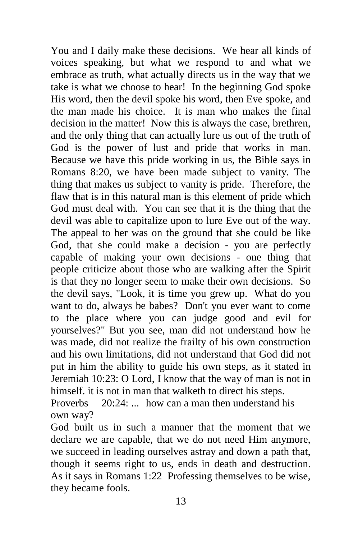You and I daily make these decisions. We hear all kinds of voices speaking, but what we respond to and what we embrace as truth, what actually directs us in the way that we take is what we choose to hear! In the beginning God spoke His word, then the devil spoke his word, then Eve spoke, and the man made his choice. It is man who makes the final decision in the matter! Now this is always the case, brethren, and the only thing that can actually lure us out of the truth of God is the power of lust and pride that works in man. Because we have this pride working in us, the Bible says in Romans 8:20, we have been made subject to vanity. The thing that makes us subject to vanity is pride. Therefore, the flaw that is in this natural man is this element of pride which God must deal with. You can see that it is the thing that the devil was able to capitalize upon to lure Eve out of the way. The appeal to her was on the ground that she could be like God, that she could make a decision - you are perfectly capable of making your own decisions - one thing that people criticize about those who are walking after the Spirit is that they no longer seem to make their own decisions. So the devil says, "Look, it is time you grew up. What do you want to do, always be babes? Don't you ever want to come to the place where you can judge good and evil for yourselves?" But you see, man did not understand how he was made, did not realize the frailty of his own construction and his own limitations, did not understand that God did not put in him the ability to guide his own steps, as it stated in Jeremiah 10:23: O Lord, I know that the way of man is not in himself. it is not in man that walketh to direct his steps. Proverbs 20:24: ... how can a man then understand his

own way?

God built us in such a manner that the moment that we declare we are capable, that we do not need Him anymore, we succeed in leading ourselves astray and down a path that, though it seems right to us, ends in death and destruction. As it says in Romans 1:22 Professing themselves to be wise, they became fools.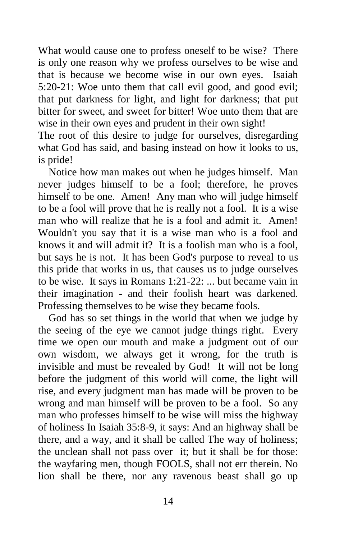What would cause one to profess oneself to be wise? There is only one reason why we profess ourselves to be wise and that is because we become wise in our own eyes. Isaiah 5:20-21: Woe unto them that call evil good, and good evil; that put darkness for light, and light for darkness; that put bitter for sweet, and sweet for bitter! Woe unto them that are wise in their own eyes and prudent in their own sight!

The root of this desire to judge for ourselves, disregarding what God has said, and basing instead on how it looks to us, is pride!

 Notice how man makes out when he judges himself. Man never judges himself to be a fool; therefore, he proves himself to be one. Amen! Any man who will judge himself to be a fool will prove that he is really not a fool. It is a wise man who will realize that he is a fool and admit it. Amen! Wouldn't you say that it is a wise man who is a fool and knows it and will admit it? It is a foolish man who is a fool, but says he is not. It has been God's purpose to reveal to us this pride that works in us, that causes us to judge ourselves to be wise. It says in Romans 1:21-22: ... but became vain in their imagination - and their foolish heart was darkened. Professing themselves to be wise they became fools.

 God has so set things in the world that when we judge by the seeing of the eye we cannot judge things right. Every time we open our mouth and make a judgment out of our own wisdom, we always get it wrong, for the truth is invisible and must be revealed by God! It will not be long before the judgment of this world will come, the light will rise, and every judgment man has made will be proven to be wrong and man himself will be proven to be a fool. So any man who professes himself to be wise will miss the highway of holiness In Isaiah 35:8-9, it says: And an highway shall be there, and a way, and it shall be called The way of holiness; the unclean shall not pass over it; but it shall be for those: the wayfaring men, though FOOLS, shall not err therein. No lion shall be there, nor any ravenous beast shall go up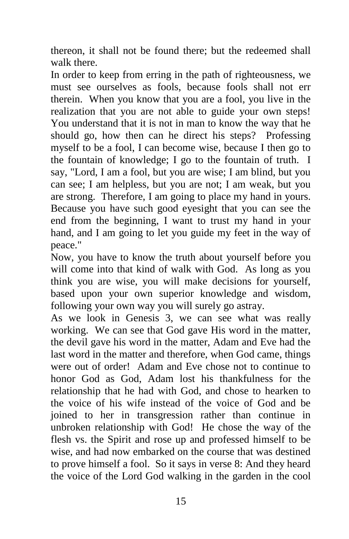thereon, it shall not be found there; but the redeemed shall walk there.

In order to keep from erring in the path of righteousness, we must see ourselves as fools, because fools shall not err therein. When you know that you are a fool, you live in the realization that you are not able to guide your own steps! You understand that it is not in man to know the way that he should go, how then can he direct his steps? Professing myself to be a fool, I can become wise, because I then go to the fountain of knowledge; I go to the fountain of truth. I say, "Lord, I am a fool, but you are wise; I am blind, but you can see; I am helpless, but you are not; I am weak, but you are strong. Therefore, I am going to place my hand in yours. Because you have such good eyesight that you can see the end from the beginning, I want to trust my hand in your hand, and I am going to let you guide my feet in the way of peace."

Now, you have to know the truth about yourself before you will come into that kind of walk with God. As long as you think you are wise, you will make decisions for yourself, based upon your own superior knowledge and wisdom, following your own way you will surely go astray.

As we look in Genesis 3, we can see what was really working. We can see that God gave His word in the matter, the devil gave his word in the matter, Adam and Eve had the last word in the matter and therefore, when God came, things were out of order! Adam and Eve chose not to continue to honor God as God, Adam lost his thankfulness for the relationship that he had with God, and chose to hearken to the voice of his wife instead of the voice of God and be joined to her in transgression rather than continue in unbroken relationship with God! He chose the way of the flesh vs. the Spirit and rose up and professed himself to be wise, and had now embarked on the course that was destined to prove himself a fool. So it says in verse 8: And they heard the voice of the Lord God walking in the garden in the cool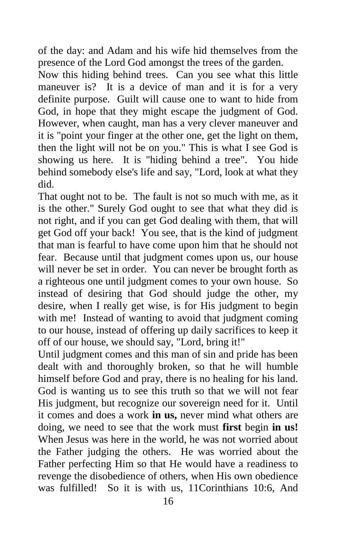of the day: and Adam and his wife hid themselves from the presence of the Lord God amongst the trees of the garden.

Now this hiding behind trees. Can you see what this little maneuver is? It is a device of man and it is for a very definite purpose. Guilt will cause one to want to hide from God, in hope that they might escape the judgment of God. However, when caught, man has a very clever maneuver and it is "point your finger at the other one, get the light on them, then the light will not be on you." This is what I see God is showing us here. It is "hiding behind a tree". You hide behind somebody else's life and say, "Lord, look at what they did.

That ought not to be. The fault is not so much with me, as it is the other." Surely God ought to see that what they did is not right, and if you can get God dealing with them, that will get God off your back! You see, that is the kind of judgment that man is fearful to have come upon him that he should not fear. Because until that judgment comes upon us, our house will never be set in order. You can never be brought forth as a righteous one until judgment comes to your own house. So instead of desiring that God should judge the other, my desire, when I really get wise, is for His judgment to begin with me! Instead of wanting to avoid that judgment coming to our house, instead of offering up daily sacrifices to keep it off of our house, we should say, "Lord, bring it!"

Until judgment comes and this man of sin and pride has been dealt with and thoroughly broken, so that he will humble himself before God and pray, there is no healing for his land. God is wanting us to see this truth so that we will not fear His judgment, but recognize our sovereign need for it. Until it comes and does a work **in us,** never mind what others are doing, we need to see that the work must **first** begin **in us!**  When Jesus was here in the world, he was not worried about the Father judging the others. He was worried about the Father perfecting Him so that He would have a readiness to revenge the disobedience of others, when His own obedience was fulfilled! So it is with us, 11Corinthians 10:6, And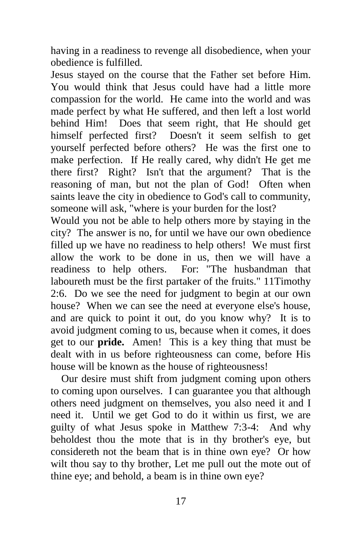having in a readiness to revenge all disobedience, when your obedience is fulfilled.

Jesus stayed on the course that the Father set before Him. You would think that Jesus could have had a little more compassion for the world. He came into the world and was made perfect by what He suffered, and then left a lost world behind Him! Does that seem right, that He should get himself perfected first? Doesn't it seem selfish to get yourself perfected before others? He was the first one to make perfection. If He really cared, why didn't He get me there first? Right? Isn't that the argument? That is the reasoning of man, but not the plan of God! Often when saints leave the city in obedience to God's call to community, someone will ask, "where is your burden for the lost?

Would you not be able to help others more by staying in the city? The answer is no, for until we have our own obedience filled up we have no readiness to help others! We must first allow the work to be done in us, then we will have a readiness to help others. For: "The husbandman that laboureth must be the first partaker of the fruits." 11Timothy 2:6. Do we see the need for judgment to begin at our own house? When we can see the need at everyone else's house, and are quick to point it out, do you know why? It is to avoid judgment coming to us, because when it comes, it does get to our **pride.** Amen! This is a key thing that must be dealt with in us before righteousness can come, before His house will be known as the house of righteousness!

 Our desire must shift from judgment coming upon others to coming upon ourselves. I can guarantee you that although others need judgment on themselves, you also need it and I need it. Until we get God to do it within us first, we are guilty of what Jesus spoke in Matthew 7:3-4: And why beholdest thou the mote that is in thy brother's eye, but considereth not the beam that is in thine own eye? Or how wilt thou say to thy brother, Let me pull out the mote out of thine eye; and behold, a beam is in thine own eye?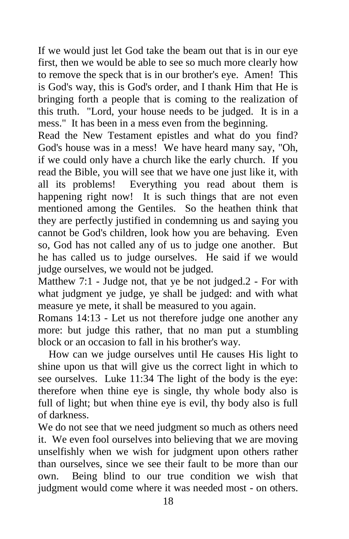If we would just let God take the beam out that is in our eye first, then we would be able to see so much more clearly how to remove the speck that is in our brother's eye. Amen! This is God's way, this is God's order, and I thank Him that He is bringing forth a people that is coming to the realization of this truth. "Lord, your house needs to be judged. It is in a mess." It has been in a mess even from the beginning.

Read the New Testament epistles and what do you find? God's house was in a mess! We have heard many say, "Oh, if we could only have a church like the early church. If you read the Bible, you will see that we have one just like it, with all its problems! Everything you read about them is happening right now! It is such things that are not even mentioned among the Gentiles. So the heathen think that they are perfectly justified in condemning us and saying you cannot be God's children, look how you are behaving. Even so, God has not called any of us to judge one another. But he has called us to judge ourselves. He said if we would judge ourselves, we would not be judged.

Matthew 7:1 - Judge not, that ye be not judged.2 - For with what judgment ye judge, ye shall be judged: and with what measure ye mete, it shall be measured to you again.

Romans 14:13 - Let us not therefore judge one another any more: but judge this rather, that no man put a stumbling block or an occasion to fall in his brother's way.

 How can we judge ourselves until He causes His light to shine upon us that will give us the correct light in which to see ourselves. Luke 11:34 The light of the body is the eye: therefore when thine eye is single, thy whole body also is full of light; but when thine eye is evil, thy body also is full of darkness.

We do not see that we need judgment so much as others need it. We even fool ourselves into believing that we are moving unselfishly when we wish for judgment upon others rather than ourselves, since we see their fault to be more than our own. Being blind to our true condition we wish that judgment would come where it was needed most - on others.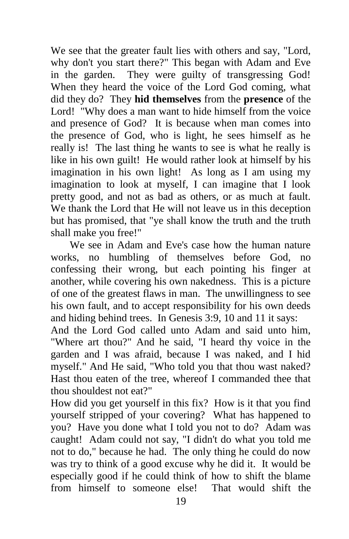We see that the greater fault lies with others and say, "Lord, why don't you start there?" This began with Adam and Eve in the garden. They were guilty of transgressing God! When they heard the voice of the Lord God coming, what did they do? They **hid themselves** from the **presence** of the Lord! "Why does a man want to hide himself from the voice and presence of God? It is because when man comes into the presence of God, who is light, he sees himself as he really is! The last thing he wants to see is what he really is like in his own guilt! He would rather look at himself by his imagination in his own light! As long as I am using my imagination to look at myself, I can imagine that I look pretty good, and not as bad as others, or as much at fault. We thank the Lord that He will not leave us in this deception but has promised, that "ye shall know the truth and the truth shall make you free!"

We see in Adam and Eve's case how the human nature works, no humbling of themselves before God, no confessing their wrong, but each pointing his finger at another, while covering his own nakedness. This is a picture of one of the greatest flaws in man. The unwillingness to see his own fault, and to accept responsibility for his own deeds and hiding behind trees. In Genesis 3:9, 10 and 11 it says:

And the Lord God called unto Adam and said unto him, "Where art thou?" And he said, "I heard thy voice in the garden and I was afraid, because I was naked, and I hid myself." And He said, "Who told you that thou wast naked? Hast thou eaten of the tree, whereof I commanded thee that thou shouldest not eat?"

How did you get yourself in this fix? How is it that you find yourself stripped of your covering? What has happened to you? Have you done what I told you not to do? Adam was caught! Adam could not say, "I didn't do what you told me not to do," because he had. The only thing he could do now was try to think of a good excuse why he did it. It would be especially good if he could think of how to shift the blame from himself to someone else! That would shift the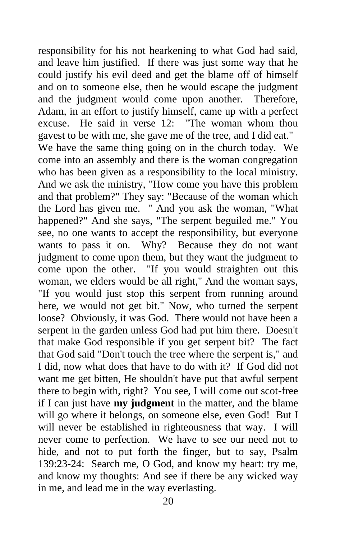responsibility for his not hearkening to what God had said, and leave him justified. If there was just some way that he could justify his evil deed and get the blame off of himself and on to someone else, then he would escape the judgment and the judgment would come upon another. Therefore, Adam, in an effort to justify himself, came up with a perfect excuse. He said in verse 12: "The woman whom thou gavest to be with me, she gave me of the tree, and I did eat." We have the same thing going on in the church today. We come into an assembly and there is the woman congregation who has been given as a responsibility to the local ministry. And we ask the ministry, "How come you have this problem and that problem?" They say: "Because of the woman which the Lord has given me. " And you ask the woman, "What happened?" And she says, "The serpent beguiled me." You see, no one wants to accept the responsibility, but everyone wants to pass it on. Why? Because they do not want judgment to come upon them, but they want the judgment to come upon the other. "If you would straighten out this woman, we elders would be all right," And the woman says, "If you would just stop this serpent from running around here, we would not get bit." Now, who turned the serpent loose? Obviously, it was God. There would not have been a serpent in the garden unless God had put him there. Doesn't that make God responsible if you get serpent bit? The fact that God said "Don't touch the tree where the serpent is," and I did, now what does that have to do with it? If God did not want me get bitten, He shouldn't have put that awful serpent there to begin with, right? You see, I will come out scot-free if I can just have **my judgment** in the matter, and the blame will go where it belongs, on someone else, even God! But I will never be established in righteousness that way. I will never come to perfection. We have to see our need not to hide, and not to put forth the finger, but to say, Psalm 139:23-24: Search me, O God, and know my heart: try me, and know my thoughts: And see if there be any wicked way in me, and lead me in the way everlasting.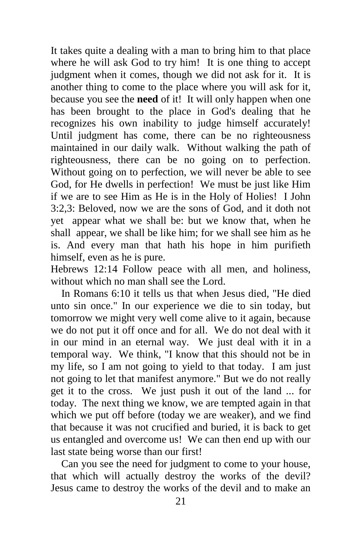It takes quite a dealing with a man to bring him to that place where he will ask God to try him! It is one thing to accept judgment when it comes, though we did not ask for it. It is another thing to come to the place where you will ask for it, because you see the **need** of it! It will only happen when one has been brought to the place in God's dealing that he recognizes his own inability to judge himself accurately! Until judgment has come, there can be no righteousness maintained in our daily walk. Without walking the path of righteousness, there can be no going on to perfection. Without going on to perfection, we will never be able to see God, for He dwells in perfection! We must be just like Him if we are to see Him as He is in the Holy of Holies! I John 3:2,3: Beloved, now we are the sons of God, and it doth not yet appear what we shall be: but we know that, when he shall appear, we shall be like him; for we shall see him as he is. And every man that hath his hope in him purifieth himself, even as he is pure.

Hebrews 12:14 Follow peace with all men, and holiness, without which no man shall see the Lord.

 In Romans 6:10 it tells us that when Jesus died, "He died unto sin once." In our experience we die to sin today, but tomorrow we might very well come alive to it again, because we do not put it off once and for all. We do not deal with it in our mind in an eternal way. We just deal with it in a temporal way. We think, "I know that this should not be in my life, so I am not going to yield to that today. I am just not going to let that manifest anymore." But we do not really get it to the cross. We just push it out of the land ... for today. The next thing we know, we are tempted again in that which we put off before (today we are weaker), and we find that because it was not crucified and buried, it is back to get us entangled and overcome us! We can then end up with our last state being worse than our first!

 Can you see the need for judgment to come to your house, that which will actually destroy the works of the devil? Jesus came to destroy the works of the devil and to make an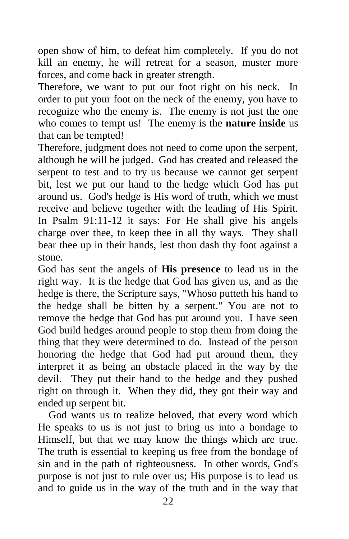open show of him, to defeat him completely. If you do not kill an enemy, he will retreat for a season, muster more forces, and come back in greater strength.

Therefore, we want to put our foot right on his neck. In order to put your foot on the neck of the enemy, you have to recognize who the enemy is. The enemy is not just the one who comes to tempt us! The enemy is the **nature inside** us that can be tempted!

Therefore, judgment does not need to come upon the serpent, although he will be judged. God has created and released the serpent to test and to try us because we cannot get serpent bit, lest we put our hand to the hedge which God has put around us. God's hedge is His word of truth, which we must receive and believe together with the leading of His Spirit. In Psalm 91:11-12 it says: For He shall give his angels charge over thee, to keep thee in all thy ways. They shall bear thee up in their hands, lest thou dash thy foot against a stone.

God has sent the angels of **His presence** to lead us in the right way. It is the hedge that God has given us, and as the hedge is there, the Scripture says, "Whoso putteth his hand to the hedge shall be bitten by a serpent." You are not to remove the hedge that God has put around you. I have seen God build hedges around people to stop them from doing the thing that they were determined to do. Instead of the person honoring the hedge that God had put around them, they interpret it as being an obstacle placed in the way by the devil. They put their hand to the hedge and they pushed right on through it. When they did, they got their way and ended up serpent bit.

 God wants us to realize beloved, that every word which He speaks to us is not just to bring us into a bondage to Himself, but that we may know the things which are true. The truth is essential to keeping us free from the bondage of sin and in the path of righteousness. In other words, God's purpose is not just to rule over us; His purpose is to lead us and to guide us in the way of the truth and in the way that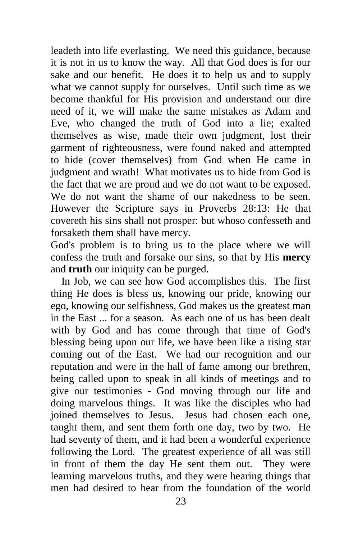leadeth into life everlasting. We need this guidance, because it is not in us to know the way. All that God does is for our sake and our benefit. He does it to help us and to supply what we cannot supply for ourselves. Until such time as we become thankful for His provision and understand our dire need of it, we will make the same mistakes as Adam and Eve, who changed the truth of God into a lie; exalted themselves as wise, made their own judgment, lost their garment of righteousness, were found naked and attempted to hide (cover themselves) from God when He came in judgment and wrath! What motivates us to hide from God is the fact that we are proud and we do not want to be exposed. We do not want the shame of our nakedness to be seen. However the Scripture says in Proverbs 28:13: He that covereth his sins shall not prosper: but whoso confesseth and forsaketh them shall have mercy.

God's problem is to bring us to the place where we will confess the truth and forsake our sins, so that by His **mercy**  and **truth** our iniquity can be purged.

 In Job, we can see how God accomplishes this. The first thing He does is bless us, knowing our pride, knowing our ego, knowing our selfishness, God makes us the greatest man in the East ... for a season. As each one of us has been dealt with by God and has come through that time of God's blessing being upon our life, we have been like a rising star coming out of the East. We had our recognition and our reputation and were in the hall of fame among our brethren, being called upon to speak in all kinds of meetings and to give our testimonies - God moving through our life and doing marvelous things. It was like the disciples who had joined themselves to Jesus. Jesus had chosen each one, taught them, and sent them forth one day, two by two. He had seventy of them, and it had been a wonderful experience following the Lord. The greatest experience of all was still in front of them the day He sent them out. They were learning marvelous truths, and they were hearing things that men had desired to hear from the foundation of the world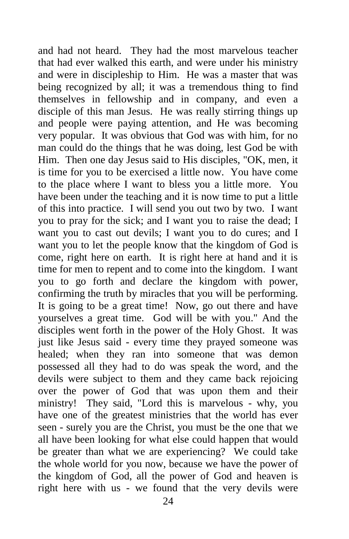and had not heard. They had the most marvelous teacher that had ever walked this earth, and were under his ministry and were in discipleship to Him. He was a master that was being recognized by all; it was a tremendous thing to find themselves in fellowship and in company, and even a disciple of this man Jesus. He was really stirring things up and people were paying attention, and He was becoming very popular. It was obvious that God was with him, for no man could do the things that he was doing, lest God be with Him. Then one day Jesus said to His disciples, "OK, men, it is time for you to be exercised a little now. You have come to the place where I want to bless you a little more. You have been under the teaching and it is now time to put a little of this into practice. I will send you out two by two. I want you to pray for the sick; and I want you to raise the dead; I want you to cast out devils; I want you to do cures; and I want you to let the people know that the kingdom of God is come, right here on earth. It is right here at hand and it is time for men to repent and to come into the kingdom. I want you to go forth and declare the kingdom with power, confirming the truth by miracles that you will be performing. It is going to be a great time! Now, go out there and have yourselves a great time. God will be with you." And the disciples went forth in the power of the Holy Ghost. It was just like Jesus said - every time they prayed someone was healed; when they ran into someone that was demon possessed all they had to do was speak the word, and the devils were subject to them and they came back rejoicing over the power of God that was upon them and their ministry! They said, "Lord this is marvelous - why, you have one of the greatest ministries that the world has ever seen - surely you are the Christ, you must be the one that we all have been looking for what else could happen that would be greater than what we are experiencing? We could take the whole world for you now, because we have the power of the kingdom of God, all the power of God and heaven is right here with us - we found that the very devils were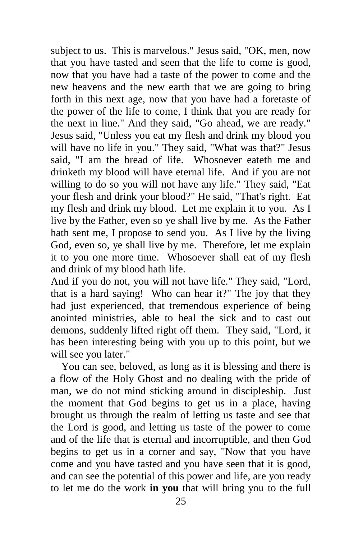subject to us. This is marvelous." Jesus said, "OK, men, now that you have tasted and seen that the life to come is good, now that you have had a taste of the power to come and the new heavens and the new earth that we are going to bring forth in this next age, now that you have had a foretaste of the power of the life to come, I think that you are ready for the next in line." And they said, "Go ahead, we are ready." Jesus said, "Unless you eat my flesh and drink my blood you will have no life in you." They said, "What was that?" Jesus said, "I am the bread of life. Whosoever eateth me and drinketh my blood will have eternal life. And if you are not willing to do so you will not have any life." They said, "Eat your flesh and drink your blood?" He said, "That's right. Eat my flesh and drink my blood. Let me explain it to you. As I live by the Father, even so ye shall live by me. As the Father hath sent me, I propose to send you. As I live by the living God, even so, ye shall live by me. Therefore, let me explain it to you one more time. Whosoever shall eat of my flesh and drink of my blood hath life.

And if you do not, you will not have life." They said, "Lord, that is a hard saying! Who can hear it?" The joy that they had just experienced, that tremendous experience of being anointed ministries, able to heal the sick and to cast out demons, suddenly lifted right off them. They said, "Lord, it has been interesting being with you up to this point, but we will see you later."

 You can see, beloved, as long as it is blessing and there is a flow of the Holy Ghost and no dealing with the pride of man, we do not mind sticking around in discipleship. Just the moment that God begins to get us in a place, having brought us through the realm of letting us taste and see that the Lord is good, and letting us taste of the power to come and of the life that is eternal and incorruptible, and then God begins to get us in a corner and say, "Now that you have come and you have tasted and you have seen that it is good, and can see the potential of this power and life, are you ready to let me do the work **in you** that will bring you to the full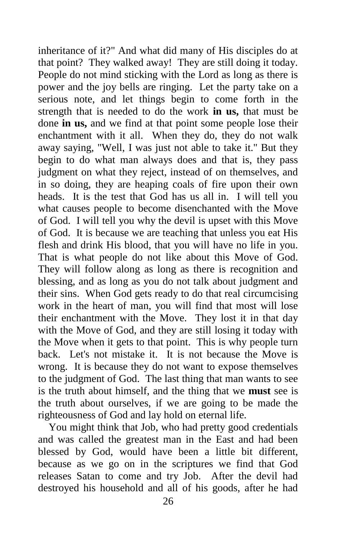inheritance of it?" And what did many of His disciples do at that point? They walked away! They are still doing it today. People do not mind sticking with the Lord as long as there is power and the joy bells are ringing. Let the party take on a serious note, and let things begin to come forth in the strength that is needed to do the work **in us,** that must be done **in us,** and we find at that point some people lose their enchantment with it all. When they do, they do not walk away saying, "Well, I was just not able to take it." But they begin to do what man always does and that is, they pass judgment on what they reject, instead of on themselves, and in so doing, they are heaping coals of fire upon their own heads. It is the test that God has us all in. I will tell you what causes people to become disenchanted with the Move of God. I will tell you why the devil is upset with this Move of God. It is because we are teaching that unless you eat His flesh and drink His blood, that you will have no life in you. That is what people do not like about this Move of God. They will follow along as long as there is recognition and blessing, and as long as you do not talk about judgment and their sins. When God gets ready to do that real circumcising work in the heart of man, you will find that most will lose their enchantment with the Move. They lost it in that day with the Move of God, and they are still losing it today with the Move when it gets to that point. This is why people turn back. Let's not mistake it. It is not because the Move is wrong. It is because they do not want to expose themselves to the judgment of God. The last thing that man wants to see is the truth about himself, and the thing that we **must** see is the truth about ourselves, if we are going to be made the righteousness of God and lay hold on eternal life.

 You might think that Job, who had pretty good credentials and was called the greatest man in the East and had been blessed by God, would have been a little bit different, because as we go on in the scriptures we find that God releases Satan to come and try Job. After the devil had destroyed his household and all of his goods, after he had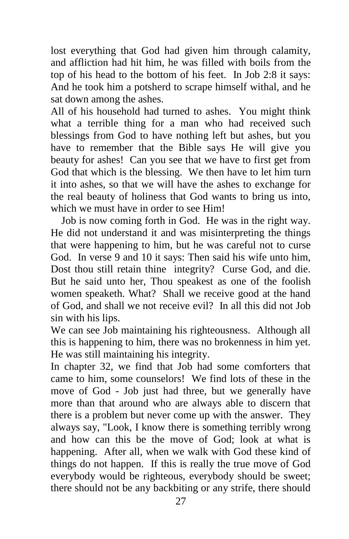lost everything that God had given him through calamity, and affliction had hit him, he was filled with boils from the top of his head to the bottom of his feet. In Job 2:8 it says: And he took him a potsherd to scrape himself withal, and he sat down among the ashes.

All of his household had turned to ashes. You might think what a terrible thing for a man who had received such blessings from God to have nothing left but ashes, but you have to remember that the Bible says He will give you beauty for ashes! Can you see that we have to first get from God that which is the blessing. We then have to let him turn it into ashes, so that we will have the ashes to exchange for the real beauty of holiness that God wants to bring us into, which we must have in order to see Him!

 Job is now coming forth in God. He was in the right way. He did not understand it and was misinterpreting the things that were happening to him, but he was careful not to curse God. In verse 9 and 10 it says: Then said his wife unto him, Dost thou still retain thine integrity? Curse God, and die. But he said unto her, Thou speakest as one of the foolish women speaketh. What? Shall we receive good at the hand of God, and shall we not receive evil? In all this did not Job sin with his lips.

We can see Job maintaining his righteousness. Although all this is happening to him, there was no brokenness in him yet. He was still maintaining his integrity.

In chapter 32, we find that Job had some comforters that came to him, some counselors! We find lots of these in the move of God - Job just had three, but we generally have more than that around who are always able to discern that there is a problem but never come up with the answer. They always say, "Look, I know there is something terribly wrong and how can this be the move of God; look at what is happening. After all, when we walk with God these kind of things do not happen. If this is really the true move of God everybody would be righteous, everybody should be sweet; there should not be any backbiting or any strife, there should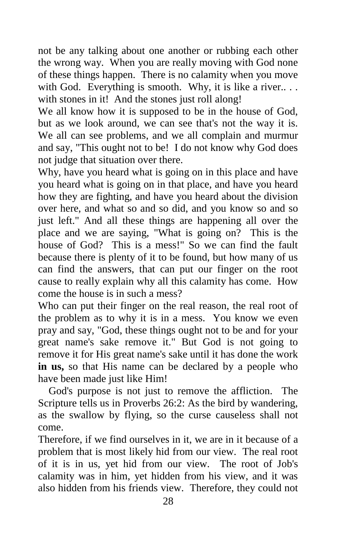not be any talking about one another or rubbing each other the wrong way. When you are really moving with God none of these things happen. There is no calamity when you move with God. Everything is smooth. Why, it is like a river... with stones in it! And the stones just roll along!

We all know how it is supposed to be in the house of God, but as we look around, we can see that's not the way it is. We all can see problems, and we all complain and murmur and say, "This ought not to be! I do not know why God does not judge that situation over there.

Why, have you heard what is going on in this place and have you heard what is going on in that place, and have you heard how they are fighting, and have you heard about the division over here, and what so and so did, and you know so and so just left." And all these things are happening all over the place and we are saying, "What is going on? This is the house of God? This is a mess!" So we can find the fault because there is plenty of it to be found, but how many of us can find the answers, that can put our finger on the root cause to really explain why all this calamity has come. How come the house is in such a mess?

Who can put their finger on the real reason, the real root of the problem as to why it is in a mess. You know we even pray and say, "God, these things ought not to be and for your great name's sake remove it." But God is not going to remove it for His great name's sake until it has done the work **in us,** so that His name can be declared by a people who have been made just like Him!

 God's purpose is not just to remove the affliction. The Scripture tells us in Proverbs 26:2: As the bird by wandering, as the swallow by flying, so the curse causeless shall not come.

Therefore, if we find ourselves in it, we are in it because of a problem that is most likely hid from our view. The real root of it is in us, yet hid from our view. The root of Job's calamity was in him, yet hidden from his view, and it was also hidden from his friends view. Therefore, they could not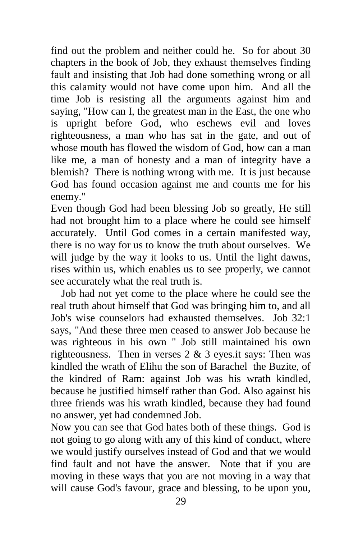find out the problem and neither could he. So for about 30 chapters in the book of Job, they exhaust themselves finding fault and insisting that Job had done something wrong or all this calamity would not have come upon him. And all the time Job is resisting all the arguments against him and saying, "How can I, the greatest man in the East, the one who is upright before God, who eschews evil and loves righteousness, a man who has sat in the gate, and out of whose mouth has flowed the wisdom of God, how can a man like me, a man of honesty and a man of integrity have a blemish? There is nothing wrong with me. It is just because God has found occasion against me and counts me for his enemy."

Even though God had been blessing Job so greatly, He still had not brought him to a place where he could see himself accurately. Until God comes in a certain manifested way, there is no way for us to know the truth about ourselves. We will judge by the way it looks to us. Until the light dawns, rises within us, which enables us to see properly, we cannot see accurately what the real truth is.

 Job had not yet come to the place where he could see the real truth about himself that God was bringing him to, and all Job's wise counselors had exhausted themselves. Job 32:1 says, "And these three men ceased to answer Job because he was righteous in his own " Job still maintained his own righteousness. Then in verses  $2 \& 3$  eyes.it says: Then was kindled the wrath of Elihu the son of Barachel the Buzite, of the kindred of Ram: against Job was his wrath kindled, because he justified himself rather than God. Also against his three friends was his wrath kindled, because they had found no answer, yet had condemned Job.

Now you can see that God hates both of these things. God is not going to go along with any of this kind of conduct, where we would justify ourselves instead of God and that we would find fault and not have the answer. Note that if you are moving in these ways that you are not moving in a way that will cause God's favour, grace and blessing, to be upon you,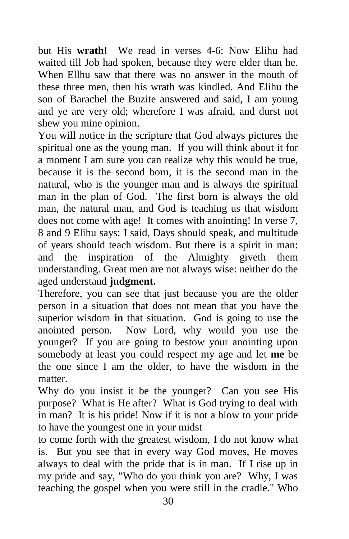but His **wrath!** We read in verses 4-6: Now Elihu had waited till Job had spoken, because they were elder than he. When Ellhu saw that there was no answer in the mouth of these three men, then his wrath was kindled. And Elihu the son of Barachel the Buzite answered and said, I am young and ye are very old; wherefore I was afraid, and durst not shew you mine opinion.

You will notice in the scripture that God always pictures the spiritual one as the young man. If you will think about it for a moment I am sure you can realize why this would be true, because it is the second born, it is the second man in the natural, who is the younger man and is always the spiritual man in the plan of God. The first born is always the old man, the natural man, and God is teaching us that wisdom does not come with age! It comes with anointing! In verse 7, 8 and 9 Elihu says: I said, Days should speak, and multitude of years should teach wisdom. But there is a spirit in man: and the inspiration of the Almighty giveth them understanding. Great men are not always wise: neither do the aged understand **judgment.**

Therefore, you can see that just because you are the older person in a situation that does not mean that you have the superior wisdom **in** that situation. God is going to use the anointed person. Now Lord, why would you use the younger? If you are going to bestow your anointing upon somebody at least you could respect my age and let **me** be the one since I am the older, to have the wisdom in the matter.

Why do you insist it be the younger? Can you see His purpose? What is He after? What is God trying to deal with in man? It is his pride! Now if it is not a blow to your pride to have the youngest one in your midst

to come forth with the greatest wisdom, I do not know what is. But you see that in every way God moves, He moves always to deal with the pride that is in man. If I rise up in my pride and say, "Who do you think you are? Why, I was teaching the gospel when you were still in the cradle." Who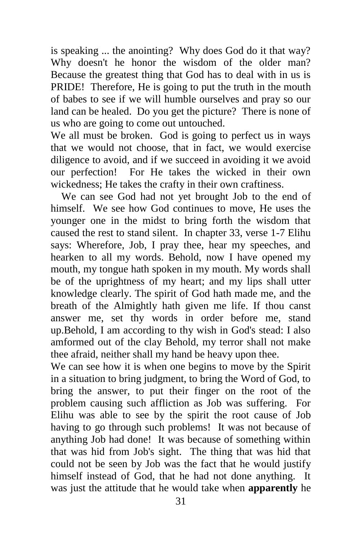is speaking ... the anointing? Why does God do it that way? Why doesn't he honor the wisdom of the older man? Because the greatest thing that God has to deal with in us is PRIDE! Therefore, He is going to put the truth in the mouth of babes to see if we will humble ourselves and pray so our land can be healed. Do you get the picture? There is none of us who are going to come out untouched.

We all must be broken. God is going to perfect us in ways that we would not choose, that in fact, we would exercise diligence to avoid, and if we succeed in avoiding it we avoid our perfection! For He takes the wicked in their own wickedness; He takes the crafty in their own craftiness.

 We can see God had not yet brought Job to the end of himself. We see how God continues to move, He uses the younger one in the midst to bring forth the wisdom that caused the rest to stand silent. In chapter 33, verse 1-7 Elihu says: Wherefore, Job, I pray thee, hear my speeches, and hearken to all my words. Behold, now I have opened my mouth, my tongue hath spoken in my mouth. My words shall be of the uprightness of my heart; and my lips shall utter knowledge clearly. The spirit of God hath made me, and the breath of the Almightly hath given me life. If thou canst answer me, set thy words in order before me, stand up.Behold, I am according to thy wish in God's stead: I also amformed out of the clay Behold, my terror shall not make thee afraid, neither shall my hand be heavy upon thee.

We can see how it is when one begins to move by the Spirit in a situation to bring judgment, to bring the Word of God, to bring the answer, to put their finger on the root of the problem causing such affliction as Job was suffering. For Elihu was able to see by the spirit the root cause of Job having to go through such problems! It was not because of anything Job had done! It was because of something within that was hid from Job's sight. The thing that was hid that could not be seen by Job was the fact that he would justify himself instead of God, that he had not done anything. It was just the attitude that he would take when **apparently** he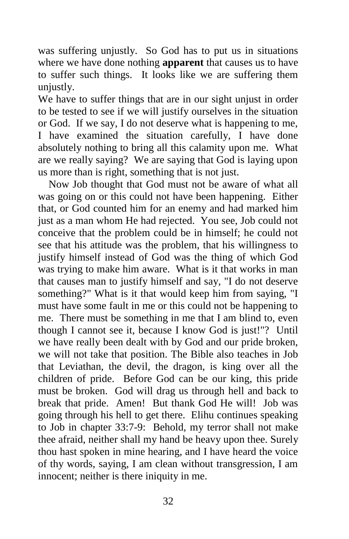was suffering unjustly. So God has to put us in situations where we have done nothing **apparent** that causes us to have to suffer such things. It looks like we are suffering them unjustly.

We have to suffer things that are in our sight unjust in order to be tested to see if we will justify ourselves in the situation or God. If we say, I do not deserve what is happening to me, I have examined the situation carefully, I have done absolutely nothing to bring all this calamity upon me. What are we really saying? We are saying that God is laying upon us more than is right, something that is not just.

 Now Job thought that God must not be aware of what all was going on or this could not have been happening. Either that, or God counted him for an enemy and had marked him just as a man whom He had rejected. You see, Job could not conceive that the problem could be in himself; he could not see that his attitude was the problem, that his willingness to justify himself instead of God was the thing of which God was trying to make him aware. What is it that works in man that causes man to justify himself and say, "I do not deserve something?" What is it that would keep him from saying, "I must have some fault in me or this could not be happening to me. There must be something in me that I am blind to, even though I cannot see it, because I know God is just!"? Until we have really been dealt with by God and our pride broken, we will not take that position. The Bible also teaches in Job that Leviathan, the devil, the dragon, is king over all the children of pride. Before God can be our king, this pride must be broken. God will drag us through hell and back to break that pride. Amen! But thank God He will! Job was going through his hell to get there. Elihu continues speaking to Job in chapter 33:7-9: Behold, my terror shall not make thee afraid, neither shall my hand be heavy upon thee. Surely thou hast spoken in mine hearing, and I have heard the voice of thy words, saying, I am clean without transgression, I am innocent; neither is there iniquity in me.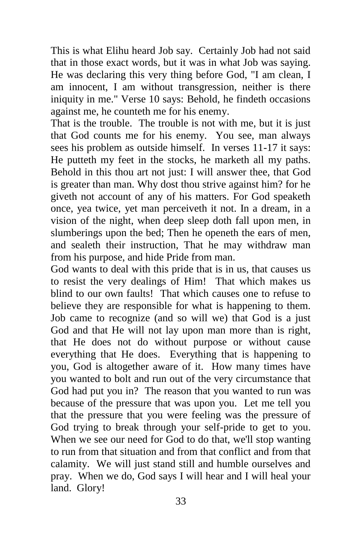This is what Elihu heard Job say. Certainly Job had not said that in those exact words, but it was in what Job was saying. He was declaring this very thing before God, "I am clean, I am innocent, I am without transgression, neither is there iniquity in me." Verse 10 says: Behold, he findeth occasions against me, he counteth me for his enemy.

That is the trouble. The trouble is not with me, but it is just that God counts me for his enemy. You see, man always sees his problem as outside himself. In verses 11-17 it says: He putteth my feet in the stocks, he marketh all my paths. Behold in this thou art not just: I will answer thee, that God is greater than man. Why dost thou strive against him? for he giveth not account of any of his matters. For God speaketh once, yea twice, yet man perceiveth it not. In a dream, in a vision of the night, when deep sleep doth fall upon men, in slumberings upon the bed; Then he openeth the ears of men, and sealeth their instruction, That he may withdraw man from his purpose, and hide Pride from man.

God wants to deal with this pride that is in us, that causes us to resist the very dealings of Him! That which makes us blind to our own faults! That which causes one to refuse to believe they are responsible for what is happening to them. Job came to recognize (and so will we) that God is a just God and that He will not lay upon man more than is right, that He does not do without purpose or without cause everything that He does. Everything that is happening to you, God is altogether aware of it. How many times have you wanted to bolt and run out of the very circumstance that God had put you in? The reason that you wanted to run was because of the pressure that was upon you. Let me tell you that the pressure that you were feeling was the pressure of God trying to break through your self-pride to get to you. When we see our need for God to do that, we'll stop wanting to run from that situation and from that conflict and from that calamity. We will just stand still and humble ourselves and pray. When we do, God says I will hear and I will heal your land. Glory!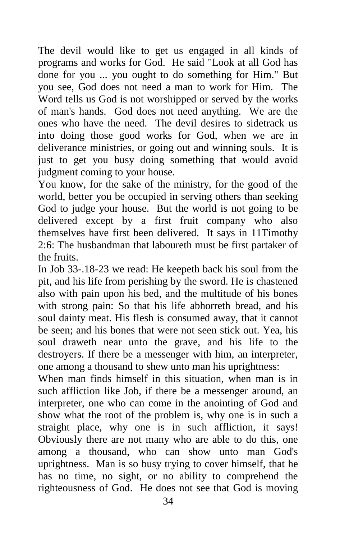The devil would like to get us engaged in all kinds of programs and works for God. He said "Look at all God has done for you ... you ought to do something for Him." But you see, God does not need a man to work for Him. The Word tells us God is not worshipped or served by the works of man's hands. God does not need anything. We are the ones who have the need. The devil desires to sidetrack us into doing those good works for God, when we are in deliverance ministries, or going out and winning souls. It is just to get you busy doing something that would avoid judgment coming to your house.

You know, for the sake of the ministry, for the good of the world, better you be occupied in serving others than seeking God to judge your house. But the world is not going to be delivered except by a first fruit company who also themselves have first been delivered. It says in 11Timothy 2:6: The husbandman that laboureth must be first partaker of the fruits.

In Job 33-.18-23 we read: He keepeth back his soul from the pit, and his life from perishing by the sword. He is chastened also with pain upon his bed, and the multitude of his bones with strong pain: So that his life abhorreth bread, and his soul dainty meat. His flesh is consumed away, that it cannot be seen; and his bones that were not seen stick out. Yea, his soul draweth near unto the grave, and his life to the destroyers. If there be a messenger with him, an interpreter, one among a thousand to shew unto man his uprightness:

When man finds himself in this situation, when man is in such affliction like Job, if there be a messenger around, an interpreter, one who can come in the anointing of God and show what the root of the problem is, why one is in such a straight place, why one is in such affliction, it says! Obviously there are not many who are able to do this, one among a thousand, who can show unto man God's uprightness. Man is so busy trying to cover himself, that he has no time, no sight, or no ability to comprehend the righteousness of God. He does not see that God is moving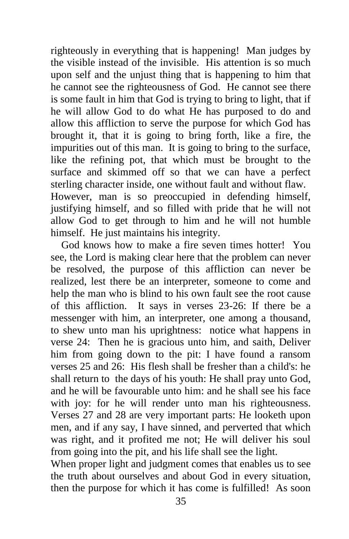righteously in everything that is happening! Man judges by the visible instead of the invisible. His attention is so much upon self and the unjust thing that is happening to him that he cannot see the righteousness of God. He cannot see there is some fault in him that God is trying to bring to light, that if he will allow God to do what He has purposed to do and allow this affliction to serve the purpose for which God has brought it, that it is going to bring forth, like a fire, the impurities out of this man. It is going to bring to the surface, like the refining pot, that which must be brought to the surface and skimmed off so that we can have a perfect sterling character inside, one without fault and without flaw. However, man is so preoccupied in defending himself, justifying himself, and so filled with pride that he will not allow God to get through to him and he will not humble himself. He just maintains his integrity.

 God knows how to make a fire seven times hotter! You see, the Lord is making clear here that the problem can never be resolved, the purpose of this affliction can never be realized, lest there be an interpreter, someone to come and help the man who is blind to his own fault see the root cause of this affliction. It says in verses 23-26: If there be a messenger with him, an interpreter, one among a thousand, to shew unto man his uprightness: notice what happens in verse 24: Then he is gracious unto him, and saith, Deliver him from going down to the pit: I have found a ransom verses 25 and 26: His flesh shall be fresher than a child's: he shall return to the days of his youth: He shall pray unto God, and he will be favourable unto him: and he shall see his face with joy: for he will render unto man his righteousness. Verses 27 and 28 are very important parts: He looketh upon men, and if any say, I have sinned, and perverted that which was right, and it profited me not; He will deliver his soul from going into the pit, and his life shall see the light.

When proper light and judgment comes that enables us to see the truth about ourselves and about God in every situation, then the purpose for which it has come is fulfilled! As soon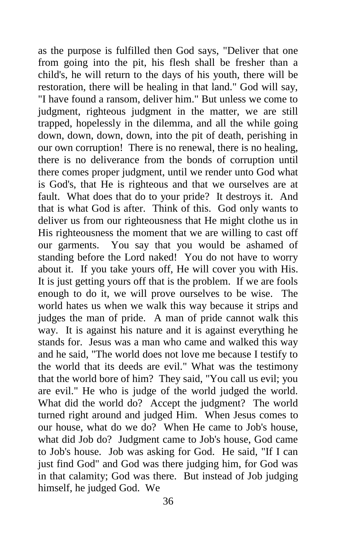as the purpose is fulfilled then God says, "Deliver that one from going into the pit, his flesh shall be fresher than a child's, he will return to the days of his youth, there will be restoration, there will be healing in that land." God will say, "I have found a ransom, deliver him." But unless we come to judgment, righteous judgment in the matter, we are still trapped, hopelessly in the dilemma, and all the while going down, down, down, down, into the pit of death, perishing in our own corruption! There is no renewal, there is no healing, there is no deliverance from the bonds of corruption until there comes proper judgment, until we render unto God what is God's, that He is righteous and that we ourselves are at fault. What does that do to your pride? It destroys it. And that is what God is after. Think of this. God only wants to deliver us from our righteousness that He might clothe us in His righteousness the moment that we are willing to cast off our garments. You say that you would be ashamed of standing before the Lord naked! You do not have to worry about it. If you take yours off, He will cover you with His. It is just getting yours off that is the problem. If we are fools enough to do it, we will prove ourselves to be wise. The world hates us when we walk this way because it strips and judges the man of pride. A man of pride cannot walk this way. It is against his nature and it is against everything he stands for. Jesus was a man who came and walked this way and he said, "The world does not love me because I testify to the world that its deeds are evil." What was the testimony that the world bore of him? They said, "You call us evil; you are evil." He who is judge of the world judged the world. What did the world do? Accept the judgment? The world turned right around and judged Him. When Jesus comes to our house, what do we do? When He came to Job's house, what did Job do? Judgment came to Job's house, God came to Job's house. Job was asking for God. He said, "If I can just find God" and God was there judging him, for God was in that calamity; God was there. But instead of Job judging himself, he judged God. We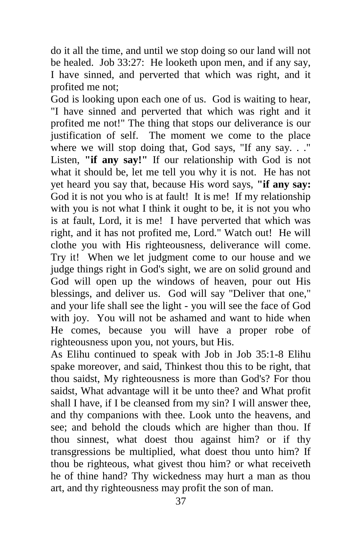do it all the time, and until we stop doing so our land will not be healed. Job 33:27: He looketh upon men, and if any say, I have sinned, and perverted that which was right, and it profited me not;

God is looking upon each one of us. God is waiting to hear, "I have sinned and perverted that which was right and it profited me not!" The thing that stops our deliverance is our justification of self. The moment we come to the place where we will stop doing that, God says, "If any say. . ." Listen, **"if any say!"** If our relationship with God is not what it should be, let me tell you why it is not. He has not yet heard you say that, because His word says, **"if any say:**  God it is not you who is at fault! It is me! If my relationship with you is not what I think it ought to be, it is not you who is at fault, Lord, it is me! I have perverted that which was right, and it has not profited me, Lord." Watch out! He will clothe you with His righteousness, deliverance will come. Try it! When we let judgment come to our house and we judge things right in God's sight, we are on solid ground and God will open up the windows of heaven, pour out His blessings, and deliver us. God will say "Deliver that one," and your life shall see the light - you will see the face of God with joy. You will not be ashamed and want to hide when He comes, because you will have a proper robe of righteousness upon you, not yours, but His.

As Elihu continued to speak with Job in Job 35:1-8 Elihu spake moreover, and said, Thinkest thou this to be right, that thou saidst, My righteousness is more than God's? For thou saidst, What advantage will it be unto thee? and What profit shall I have, if I be cleansed from my sin? I will answer thee, and thy companions with thee. Look unto the heavens, and see; and behold the clouds which are higher than thou. If thou sinnest, what doest thou against him? or if thy transgressions be multiplied, what doest thou unto him? If thou be righteous, what givest thou him? or what receiveth he of thine hand? Thy wickedness may hurt a man as thou art, and thy righteousness may profit the son of man.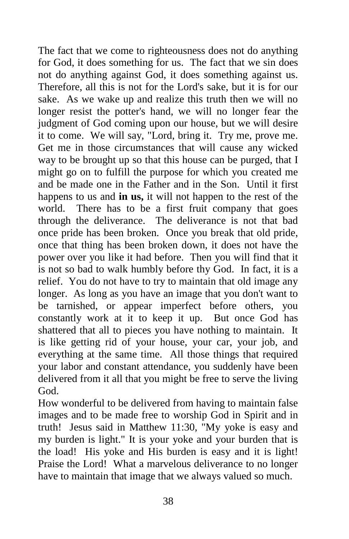The fact that we come to righteousness does not do anything for God, it does something for us. The fact that we sin does not do anything against God, it does something against us. Therefore, all this is not for the Lord's sake, but it is for our sake. As we wake up and realize this truth then we will no longer resist the potter's hand, we will no longer fear the judgment of God coming upon our house, but we will desire it to come. We will say, "Lord, bring it. Try me, prove me. Get me in those circumstances that will cause any wicked way to be brought up so that this house can be purged, that I might go on to fulfill the purpose for which you created me and be made one in the Father and in the Son. Until it first happens to us and **in us,** it will not happen to the rest of the world. There has to be a first fruit company that goes through the deliverance. The deliverance is not that bad once pride has been broken. Once you break that old pride, once that thing has been broken down, it does not have the power over you like it had before. Then you will find that it is not so bad to walk humbly before thy God. In fact, it is a relief. You do not have to try to maintain that old image any longer. As long as you have an image that you don't want to be tarnished, or appear imperfect before others, you constantly work at it to keep it up. But once God has shattered that all to pieces you have nothing to maintain. It is like getting rid of your house, your car, your job, and everything at the same time. All those things that required your labor and constant attendance, you suddenly have been delivered from it all that you might be free to serve the living God.

How wonderful to be delivered from having to maintain false images and to be made free to worship God in Spirit and in truth! Jesus said in Matthew 11:30, "My yoke is easy and my burden is light." It is your yoke and your burden that is the load! His yoke and His burden is easy and it is light! Praise the Lord! What a marvelous deliverance to no longer have to maintain that image that we always valued so much.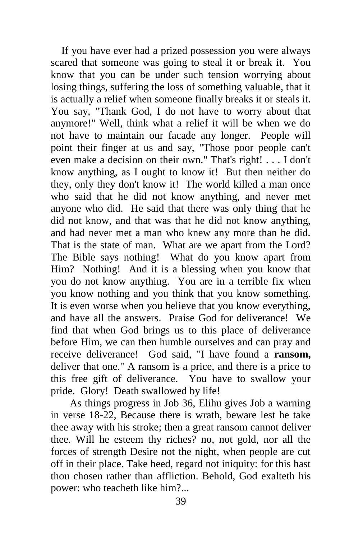If you have ever had a prized possession you were always scared that someone was going to steal it or break it. You know that you can be under such tension worrying about losing things, suffering the loss of something valuable, that it is actually a relief when someone finally breaks it or steals it. You say, "Thank God, I do not have to worry about that anymore!" Well, think what a relief it will be when we do not have to maintain our facade any longer. People will point their finger at us and say, "Those poor people can't even make a decision on their own." That's right! . . . I don't know anything, as I ought to know it! But then neither do they, only they don't know it! The world killed a man once who said that he did not know anything, and never met anyone who did. He said that there was only thing that he did not know, and that was that he did not know anything, and had never met a man who knew any more than he did. That is the state of man. What are we apart from the Lord? The Bible says nothing! What do you know apart from Him? Nothing! And it is a blessing when you know that you do not know anything. You are in a terrible fix when you know nothing and you think that you know something. It is even worse when you believe that you know everything, and have all the answers. Praise God for deliverance! We find that when God brings us to this place of deliverance before Him, we can then humble ourselves and can pray and receive deliverance! God said, "I have found a **ransom,**  deliver that one." A ransom is a price, and there is a price to this free gift of deliverance. You have to swallow your pride. Glory! Death swallowed by life!

As things progress in Job 36, Elihu gives Job a warning in verse 18-22, Because there is wrath, beware lest he take thee away with his stroke; then a great ransom cannot deliver thee. Will he esteem thy riches? no, not gold, nor all the forces of strength Desire not the night, when people are cut off in their place. Take heed, regard not iniquity: for this hast thou chosen rather than affliction. Behold, God exalteth his power: who teacheth like him?...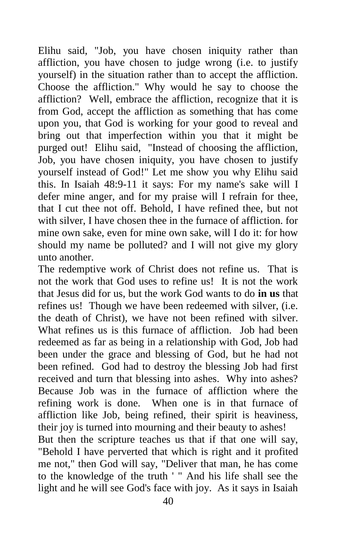Elihu said, "Job, you have chosen iniquity rather than affliction, you have chosen to judge wrong (i.e. to justify yourself) in the situation rather than to accept the affliction. Choose the affliction." Why would he say to choose the affliction? Well, embrace the affliction, recognize that it is from God, accept the affliction as something that has come upon you, that God is working for your good to reveal and bring out that imperfection within you that it might be purged out! Elihu said, "Instead of choosing the affliction, Job, you have chosen iniquity, you have chosen to justify yourself instead of God!" Let me show you why Elihu said this. In Isaiah 48:9-11 it says: For my name's sake will I defer mine anger, and for my praise will I refrain for thee, that I cut thee not off. Behold, I have refined thee, but not with silver, I have chosen thee in the furnace of affliction. for mine own sake, even for mine own sake, will I do it: for how should my name be polluted? and I will not give my glory unto another.

The redemptive work of Christ does not refine us. That is not the work that God uses to refine us! It is not the work that Jesus did for us, but the work God wants to do **in us** that refines us! Though we have been redeemed with silver, (i.e. the death of Christ), we have not been refined with silver. What refines us is this furnace of affliction. Job had been redeemed as far as being in a relationship with God, Job had been under the grace and blessing of God, but he had not been refined. God had to destroy the blessing Job had first received and turn that blessing into ashes. Why into ashes? Because Job was in the furnace of affliction where the refining work is done. When one is in that furnace of affliction like Job, being refined, their spirit is heaviness, their joy is turned into mourning and their beauty to ashes! But then the scripture teaches us that if that one will say, "Behold I have perverted that which is right and it profited me not," then God will say, "Deliver that man, he has come to the knowledge of the truth ' " And his life shall see the light and he will see God's face with joy. As it says in Isaiah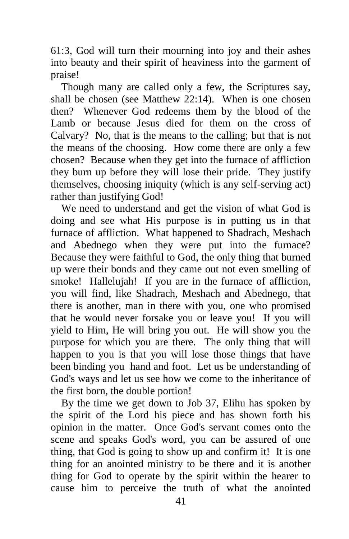61:3, God will turn their mourning into joy and their ashes into beauty and their spirit of heaviness into the garment of praise!

 Though many are called only a few, the Scriptures say, shall be chosen (see Matthew 22:14). When is one chosen then? Whenever God redeems them by the blood of the Lamb or because Jesus died for them on the cross of Calvary? No, that is the means to the calling; but that is not the means of the choosing. How come there are only a few chosen? Because when they get into the furnace of affliction they burn up before they will lose their pride. They justify themselves, choosing iniquity (which is any self-serving act) rather than justifying God!

 We need to understand and get the vision of what God is doing and see what His purpose is in putting us in that furnace of affliction. What happened to Shadrach, Meshach and Abednego when they were put into the furnace? Because they were faithful to God, the only thing that burned up were their bonds and they came out not even smelling of smoke! Hallelujah! If you are in the furnace of affliction, you will find, like Shadrach, Meshach and Abednego, that there is another, man in there with you, one who promised that he would never forsake you or leave you! If you will yield to Him, He will bring you out. He will show you the purpose for which you are there. The only thing that will happen to you is that you will lose those things that have been binding you hand and foot. Let us be understanding of God's ways and let us see how we come to the inheritance of the first born, the double portion!

 By the time we get down to Job 37, Elihu has spoken by the spirit of the Lord his piece and has shown forth his opinion in the matter. Once God's servant comes onto the scene and speaks God's word, you can be assured of one thing, that God is going to show up and confirm it! It is one thing for an anointed ministry to be there and it is another thing for God to operate by the spirit within the hearer to cause him to perceive the truth of what the anointed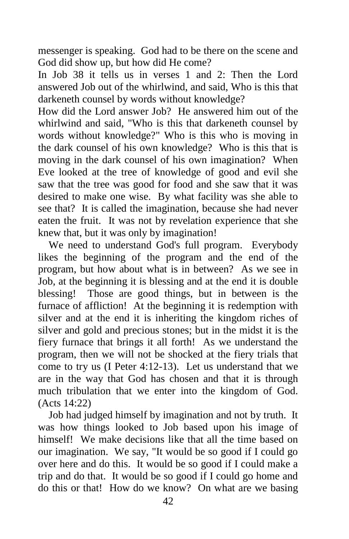messenger is speaking. God had to be there on the scene and God did show up, but how did He come?

In Job 38 it tells us in verses 1 and 2: Then the Lord answered Job out of the whirlwind, and said, Who is this that darkeneth counsel by words without knowledge?

How did the Lord answer Job? He answered him out of the whirlwind and said, "Who is this that darkeneth counsel by words without knowledge?" Who is this who is moving in the dark counsel of his own knowledge? Who is this that is moving in the dark counsel of his own imagination? When Eve looked at the tree of knowledge of good and evil she saw that the tree was good for food and she saw that it was desired to make one wise. By what facility was she able to see that? It is called the imagination, because she had never eaten the fruit. It was not by revelation experience that she knew that, but it was only by imagination!

 We need to understand God's full program. Everybody likes the beginning of the program and the end of the program, but how about what is in between? As we see in Job, at the beginning it is blessing and at the end it is double blessing! Those are good things, but in between is the furnace of affliction! At the beginning it is redemption with silver and at the end it is inheriting the kingdom riches of silver and gold and precious stones; but in the midst it is the fiery furnace that brings it all forth! As we understand the program, then we will not be shocked at the fiery trials that come to try us (I Peter 4:12-13). Let us understand that we are in the way that God has chosen and that it is through much tribulation that we enter into the kingdom of God. (Acts 14:22)

 Job had judged himself by imagination and not by truth. It was how things looked to Job based upon his image of himself! We make decisions like that all the time based on our imagination. We say, "It would be so good if I could go over here and do this. It would be so good if I could make a trip and do that. It would be so good if I could go home and do this or that! How do we know? On what are we basing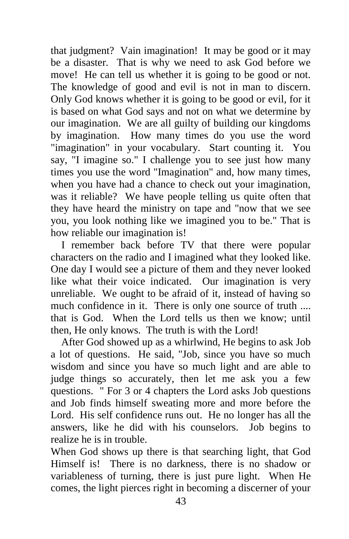that judgment? Vain imagination! It may be good or it may be a disaster. That is why we need to ask God before we move! He can tell us whether it is going to be good or not. The knowledge of good and evil is not in man to discern. Only God knows whether it is going to be good or evil, for it is based on what God says and not on what we determine by our imagination. We are all guilty of building our kingdoms by imagination. How many times do you use the word "imagination" in your vocabulary. Start counting it. You say, "I imagine so." I challenge you to see just how many times you use the word "Imagination" and, how many times, when you have had a chance to check out your imagination, was it reliable? We have people telling us quite often that they have heard the ministry on tape and "now that we see you, you look nothing like we imagined you to be." That is how reliable our imagination is!

 I remember back before TV that there were popular characters on the radio and I imagined what they looked like. One day I would see a picture of them and they never looked like what their voice indicated. Our imagination is very unreliable. We ought to be afraid of it, instead of having so much confidence in it. There is only one source of truth .... that is God. When the Lord tells us then we know; until then, He only knows. The truth is with the Lord!

 After God showed up as a whirlwind, He begins to ask Job a lot of questions. He said, "Job, since you have so much wisdom and since you have so much light and are able to judge things so accurately, then let me ask you a few questions. " For 3 or 4 chapters the Lord asks Job questions and Job finds himself sweating more and more before the Lord. His self confidence runs out. He no longer has all the answers, like he did with his counselors. Job begins to realize he is in trouble.

When God shows up there is that searching light, that God Himself is! There is no darkness, there is no shadow or variableness of turning, there is just pure light. When He comes, the light pierces right in becoming a discerner of your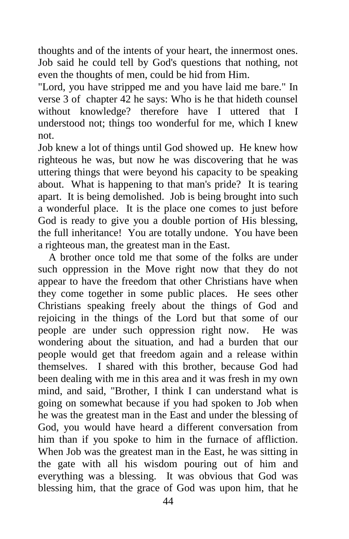thoughts and of the intents of your heart, the innermost ones. Job said he could tell by God's questions that nothing, not even the thoughts of men, could be hid from Him.

"Lord, you have stripped me and you have laid me bare." In verse 3 of chapter 42 he says: Who is he that hideth counsel without knowledge? therefore have I uttered that I understood not; things too wonderful for me, which I knew not.

Job knew a lot of things until God showed up. He knew how righteous he was, but now he was discovering that he was uttering things that were beyond his capacity to be speaking about. What is happening to that man's pride? It is tearing apart. It is being demolished. Job is being brought into such a wonderful place. It is the place one comes to just before God is ready to give you a double portion of His blessing, the full inheritance! You are totally undone. You have been a righteous man, the greatest man in the East.

 A brother once told me that some of the folks are under such oppression in the Move right now that they do not appear to have the freedom that other Christians have when they come together in some public places. He sees other Christians speaking freely about the things of God and rejoicing in the things of the Lord but that some of our people are under such oppression right now. He was wondering about the situation, and had a burden that our people would get that freedom again and a release within themselves. I shared with this brother, because God had been dealing with me in this area and it was fresh in my own mind, and said, "Brother, I think I can understand what is going on somewhat because if you had spoken to Job when he was the greatest man in the East and under the blessing of God, you would have heard a different conversation from him than if you spoke to him in the furnace of affliction. When Job was the greatest man in the East, he was sitting in the gate with all his wisdom pouring out of him and everything was a blessing. It was obvious that God was blessing him, that the grace of God was upon him, that he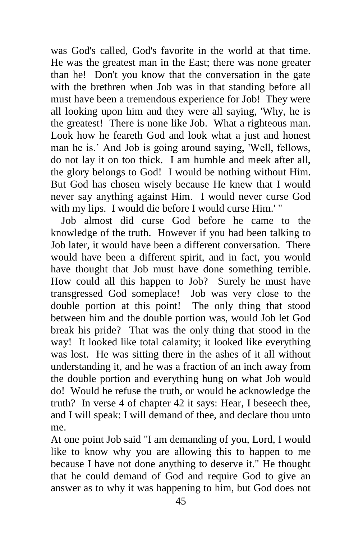was God's called, God's favorite in the world at that time. He was the greatest man in the East; there was none greater than he! Don't you know that the conversation in the gate with the brethren when Job was in that standing before all must have been a tremendous experience for Job! They were all looking upon him and they were all saying, 'Why, he is the greatest! There is none like Job. What a righteous man. Look how he feareth God and look what a just and honest man he is.' And Job is going around saying, 'Well, fellows, do not lay it on too thick. I am humble and meek after all, the glory belongs to God! I would be nothing without Him. But God has chosen wisely because He knew that I would never say anything against Him. I would never curse God with my lips. I would die before I would curse Him.' "

 Job almost did curse God before he came to the knowledge of the truth. However if you had been talking to Job later, it would have been a different conversation. There would have been a different spirit, and in fact, you would have thought that Job must have done something terrible. How could all this happen to Job? Surely he must have transgressed God someplace! Job was very close to the double portion at this point! The only thing that stood between him and the double portion was, would Job let God break his pride? That was the only thing that stood in the way! It looked like total calamity; it looked like everything was lost. He was sitting there in the ashes of it all without understanding it, and he was a fraction of an inch away from the double portion and everything hung on what Job would do! Would he refuse the truth, or would he acknowledge the truth? In verse 4 of chapter 42 it says: Hear, I beseech thee, and I will speak: I will demand of thee, and declare thou unto me.

At one point Job said "I am demanding of you, Lord, I would like to know why you are allowing this to happen to me because I have not done anything to deserve it." He thought that he could demand of God and require God to give an answer as to why it was happening to him, but God does not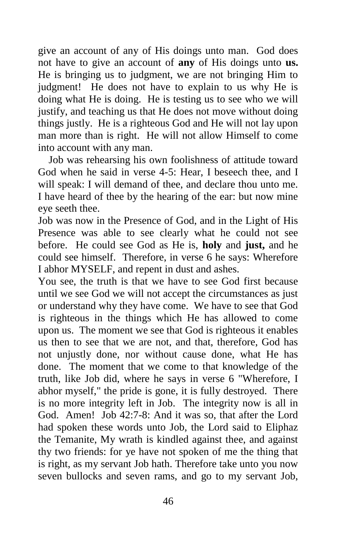give an account of any of His doings unto man. God does not have to give an account of **any** of His doings unto **us.**  He is bringing us to judgment, we are not bringing Him to judgment! He does not have to explain to us why He is doing what He is doing. He is testing us to see who we will justify, and teaching us that He does not move without doing things justly. He is a righteous God and He will not lay upon man more than is right. He will not allow Himself to come into account with any man.

 Job was rehearsing his own foolishness of attitude toward God when he said in verse 4-5: Hear, I beseech thee, and I will speak: I will demand of thee, and declare thou unto me. I have heard of thee by the hearing of the ear: but now mine eye seeth thee.

Job was now in the Presence of God, and in the Light of His Presence was able to see clearly what he could not see before. He could see God as He is, **holy** and **just,** and he could see himself. Therefore, in verse 6 he says: Wherefore I abhor MYSELF, and repent in dust and ashes.

You see, the truth is that we have to see God first because until we see God we will not accept the circumstances as just or understand why they have come. We have to see that God is righteous in the things which He has allowed to come upon us. The moment we see that God is righteous it enables us then to see that we are not, and that, therefore, God has not unjustly done, nor without cause done, what He has done. The moment that we come to that knowledge of the truth, like Job did, where he says in verse 6 "Wherefore, I abhor myself," the pride is gone, it is fully destroyed. There is no more integrity left in Job. The integrity now is all in God. Amen! Job 42:7-8: And it was so, that after the Lord had spoken these words unto Job, the Lord said to Eliphaz the Temanite, My wrath is kindled against thee, and against thy two friends: for ye have not spoken of me the thing that is right, as my servant Job hath. Therefore take unto you now seven bullocks and seven rams, and go to my servant Job,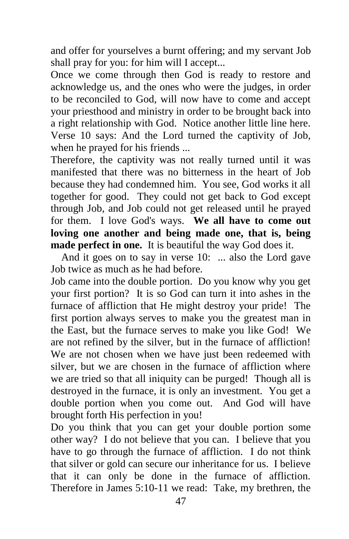and offer for yourselves a burnt offering; and my servant Job shall pray for you: for him will I accept...

Once we come through then God is ready to restore and acknowledge us, and the ones who were the judges, in order to be reconciled to God, will now have to come and accept your priesthood and ministry in order to be brought back into a right relationship with God. Notice another little line here. Verse 10 says: And the Lord turned the captivity of Job, when he prayed for his friends ...

Therefore, the captivity was not really turned until it was manifested that there was no bitterness in the heart of Job because they had condemned him. You see, God works it all together for good. They could not get back to God except through Job, and Job could not get released until he prayed for them. I love God's ways. **We all have to come out loving one another and being made one, that is, being made perfect in one.** It is beautiful the way God does it.

 And it goes on to say in verse 10: ... also the Lord gave Job twice as much as he had before.

Job came into the double portion. Do you know why you get your first portion? It is so God can turn it into ashes in the furnace of affliction that He might destroy your pride! The first portion always serves to make you the greatest man in the East, but the furnace serves to make you like God! We are not refined by the silver, but in the furnace of affliction! We are not chosen when we have just been redeemed with silver, but we are chosen in the furnace of affliction where we are tried so that all iniquity can be purged! Though all is destroyed in the furnace, it is only an investment. You get a double portion when you come out. And God will have brought forth His perfection in you!

Do you think that you can get your double portion some other way? I do not believe that you can. I believe that you have to go through the furnace of affliction. I do not think that silver or gold can secure our inheritance for us. I believe that it can only be done in the furnace of affliction. Therefore in James 5:10-11 we read: Take, my brethren, the